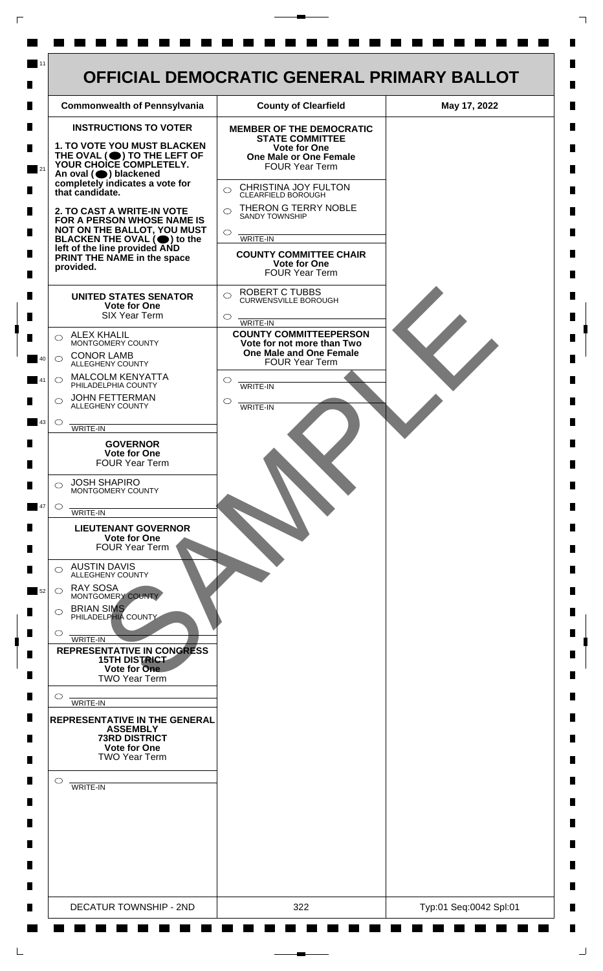

 $\mathsf{L}$ 

 $\Box$